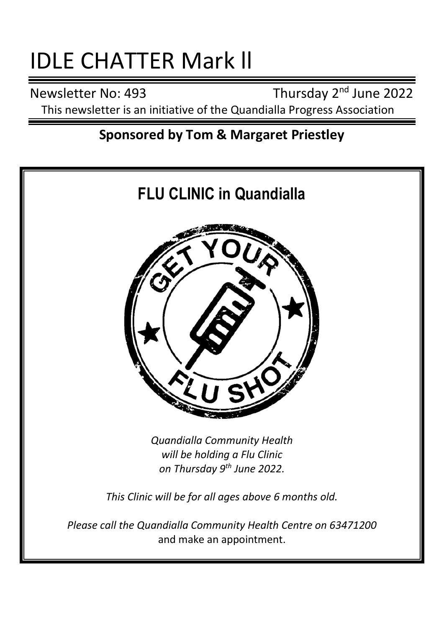# IDLE CHATTER Mark ll

Newsletter No: 493

Thursday 2<sup>nd</sup> June 2022 This newsletter is an initiative of the Quandialla Progress Association

# **Sponsored by Tom & Margaret Priestley**

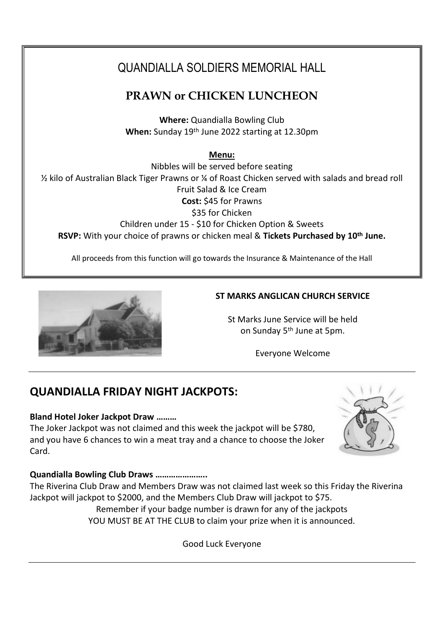# QUANDIALLA SOLDIERS MEMORIAL HALL

# **PRAWN or CHICKEN LUNCHEON**

**Where:** Quandialla Bowling Club **When:** Sunday 19th June 2022 starting at 12.30pm

**Menu:**

Nibbles will be served before seating ½ kilo of Australian Black Tiger Prawns or ¼ of Roast Chicken served with salads and bread roll Fruit Salad & Ice Cream **Cost:** \$45 for Prawns \$35 for Chicken Children under 15 - \$10 for Chicken Option & Sweets **RSVP:** With your choice of prawns or chicken meal & **Tickets Purchased by 10th June.**

All proceeds from this function will go towards the Insurance & Maintenance of the Hall



## **ST MARKS ANGLICAN CHURCH SERVICE**

St Marks June Service will be held on Sunday 5th June at 5pm.

Everyone Welcome

# **QUANDIALLA FRIDAY NIGHT JACKPOTS:**

## **Bland Hotel Joker Jackpot Draw ………**

The Joker Jackpot was not claimed and this week the jackpot will be \$780, and you have 6 chances to win a meat tray and a chance to choose the Joker Card.



## **Quandialla Bowling Club Draws …………………..**

The Riverina Club Draw and Members Draw was not claimed last week so this Friday the Riverina Jackpot will jackpot to \$2000, and the Members Club Draw will jackpot to \$75.

> Remember if your badge number is drawn for any of the jackpots YOU MUST BE AT THE CLUB to claim your prize when it is announced.

> > Good Luck Everyone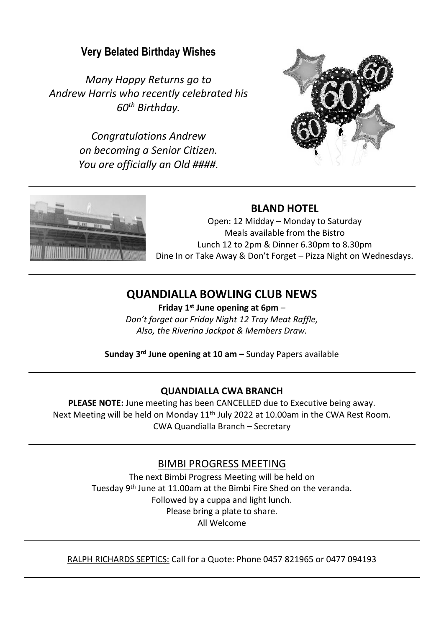# **Very Belated Birthday Wishes**

*Many Happy Returns go to Andrew Harris who recently celebrated his 60th Birthday.*

> *Congratulations Andrew on becoming a Senior Citizen. You are officially an Old ####.*





## **BLAND HOTEL**

Open: 12 Midday – Monday to Saturday Meals available from the Bistro Lunch 12 to 2pm & Dinner 6.30pm to 8.30pm Dine In or Take Away & Don't Forget – Pizza Night on Wednesdays.

# **QUANDIALLA BOWLING CLUB NEWS**

**Friday 1 st June opening at 6pm** – *Don't forget our Friday Night 12 Tray Meat Raffle, Also, the Riverina Jackpot & Members Draw.*

**Sunday 3 rd June opening at 10 am –** Sunday Papers available

#### **QUANDIALLA CWA BRANCH**

**PLEASE NOTE:** June meeting has been CANCELLED due to Executive being away. Next Meeting will be held on Monday 11<sup>th</sup> July 2022 at 10.00am in the CWA Rest Room. CWA Quandialla Branch – Secretary

## BIMBI PROGRESS MEETING

The next Bimbi Progress Meeting will be held on Tuesday 9th June at 11.00am at the Bimbi Fire Shed on the veranda. Followed by a cuppa and light lunch. Please bring a plate to share. All Welcome

RALPH RICHARDS SEPTICS: Call for a Quote: Phone 0457 821965 or 0477 094193